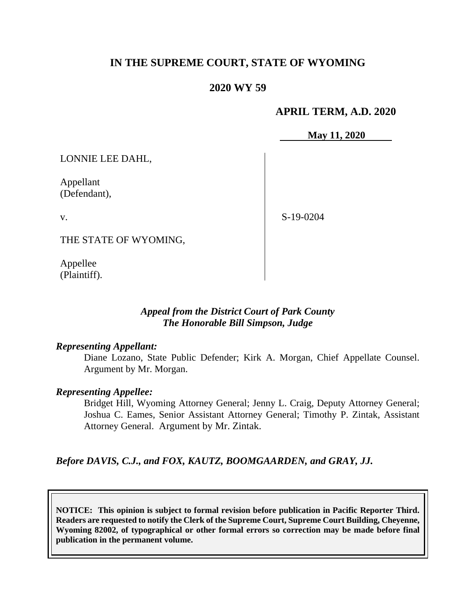## **IN THE SUPREME COURT, STATE OF WYOMING**

### **2020 WY 59**

### **APRIL TERM, A.D. 2020**

**May 11, 2020**

LONNIE LEE DAHL,

Appellant (Defendant),

v.

S-19-0204

THE STATE OF WYOMING,

Appellee (Plaintiff).

### *Appeal from the District Court of Park County The Honorable Bill Simpson, Judge*

#### *Representing Appellant:*

Diane Lozano, State Public Defender; Kirk A. Morgan, Chief Appellate Counsel. Argument by Mr. Morgan.

#### *Representing Appellee:*

Bridget Hill, Wyoming Attorney General; Jenny L. Craig, Deputy Attorney General; Joshua C. Eames, Senior Assistant Attorney General; Timothy P. Zintak, Assistant Attorney General. Argument by Mr. Zintak.

*Before DAVIS, C.J., and FOX, KAUTZ, BOOMGAARDEN, and GRAY, JJ.*

**NOTICE: This opinion is subject to formal revision before publication in Pacific Reporter Third. Readers are requested to notify the Clerk of the Supreme Court, Supreme Court Building, Cheyenne, Wyoming 82002, of typographical or other formal errors so correction may be made before final publication in the permanent volume.**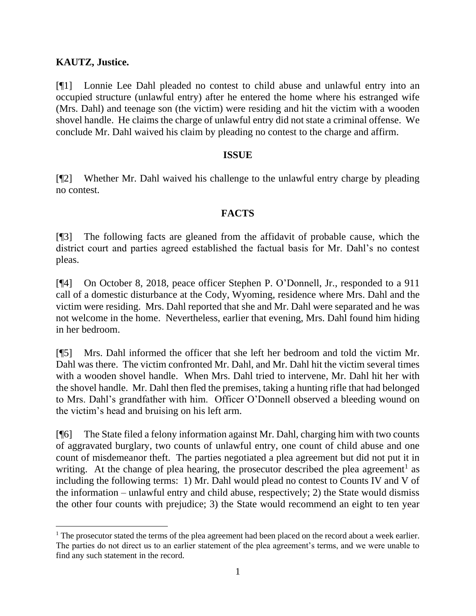### **KAUTZ, Justice.**

[¶1] Lonnie Lee Dahl pleaded no contest to child abuse and unlawful entry into an occupied structure (unlawful entry) after he entered the home where his estranged wife (Mrs. Dahl) and teenage son (the victim) were residing and hit the victim with a wooden shovel handle. He claims the charge of unlawful entry did not state a criminal offense. We conclude Mr. Dahl waived his claim by pleading no contest to the charge and affirm.

#### **ISSUE**

[¶2] Whether Mr. Dahl waived his challenge to the unlawful entry charge by pleading no contest.

### **FACTS**

[¶3] The following facts are gleaned from the affidavit of probable cause, which the district court and parties agreed established the factual basis for Mr. Dahl's no contest pleas.

[¶4] On October 8, 2018, peace officer Stephen P. O'Donnell, Jr., responded to a 911 call of a domestic disturbance at the Cody, Wyoming, residence where Mrs. Dahl and the victim were residing. Mrs. Dahl reported that she and Mr. Dahl were separated and he was not welcome in the home. Nevertheless, earlier that evening, Mrs. Dahl found him hiding in her bedroom.

[¶5] Mrs. Dahl informed the officer that she left her bedroom and told the victim Mr. Dahl was there. The victim confronted Mr. Dahl, and Mr. Dahl hit the victim several times with a wooden shovel handle. When Mrs. Dahl tried to intervene, Mr. Dahl hit her with the shovel handle. Mr. Dahl then fled the premises, taking a hunting rifle that had belonged to Mrs. Dahl's grandfather with him. Officer O'Donnell observed a bleeding wound on the victim's head and bruising on his left arm.

[¶6] The State filed a felony information against Mr. Dahl, charging him with two counts of aggravated burglary, two counts of unlawful entry, one count of child abuse and one count of misdemeanor theft. The parties negotiated a plea agreement but did not put it in writing. At the change of plea hearing, the prosecutor described the plea agreement<sup>1</sup> as including the following terms: 1) Mr. Dahl would plead no contest to Counts IV and V of the information – unlawful entry and child abuse, respectively; 2) the State would dismiss the other four counts with prejudice; 3) the State would recommend an eight to ten year

<sup>&</sup>lt;sup>1</sup> The prosecutor stated the terms of the plea agreement had been placed on the record about a week earlier. The parties do not direct us to an earlier statement of the plea agreement's terms, and we were unable to find any such statement in the record.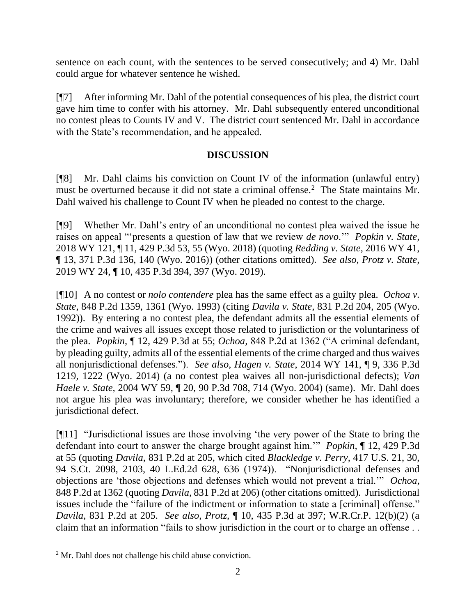sentence on each count, with the sentences to be served consecutively; and 4) Mr. Dahl could argue for whatever sentence he wished.

[¶7] After informing Mr. Dahl of the potential consequences of his plea, the district court gave him time to confer with his attorney. Mr. Dahl subsequently entered unconditional no contest pleas to Counts IV and V. The district court sentenced Mr. Dahl in accordance with the State's recommendation, and he appealed.

### **DISCUSSION**

[¶8] Mr. Dahl claims his conviction on Count IV of the information (unlawful entry) must be overturned because it did not state a criminal offense.<sup>2</sup> The State maintains Mr. Dahl waived his challenge to Count IV when he pleaded no contest to the charge.

[¶9] Whether Mr. Dahl's entry of an unconditional no contest plea waived the issue he raises on appeal "'presents a question of law that we review *de novo*.'" *Popkin v. State,*  2018 WY 121, ¶ 11, 429 P.3d 53, 55 (Wyo. 2018) (quoting *Redding v. State*, 2016 WY 41, ¶ 13, 371 P.3d 136, 140 (Wyo. 2016)) (other citations omitted). *See also, Protz v. State,*  2019 WY 24, ¶ 10, 435 P.3d 394, 397 (Wyo. 2019).

[¶10] A no contest or *nolo contendere* plea has the same effect as a guilty plea. *Ochoa v. State,* 848 P.2d 1359, 1361 (Wyo. 1993) (citing *Davila v. State,* 831 P.2d 204, 205 (Wyo. 1992)). By entering a no contest plea, the defendant admits all the essential elements of the crime and waives all issues except those related to jurisdiction or the voluntariness of the plea. *Popkin,* ¶ 12, 429 P.3d at 55; *Ochoa,* 848 P.2d at 1362 ("A criminal defendant, by pleading guilty, admits all of the essential elements of the crime charged and thus waives all nonjurisdictional defenses."). *See also, Hagen v. State*, 2014 WY 141, ¶ 9, 336 P.3d 1219, 1222 (Wyo. 2014) (a no contest plea waives all non-jurisdictional defects); *Van Haele v. State,* 2004 WY 59, ¶ 20, 90 P.3d 708, 714 (Wyo. 2004) (same). Mr. Dahl does not argue his plea was involuntary; therefore, we consider whether he has identified a jurisdictional defect.

[¶11] "Jurisdictional issues are those involving 'the very power of the State to bring the defendant into court to answer the charge brought against him.'" *Popkin,* ¶ 12, 429 P.3d at 55 (quoting *Davila*, 831 P.2d at 205, which cited *Blackledge v. Perry,* 417 U.S. 21, 30, 94 S.Ct. 2098, 2103, 40 L.Ed.2d 628, 636 (1974)). "Nonjurisdictional defenses and objections are 'those objections and defenses which would not prevent a trial.'" *Ochoa,*  848 P.2d at 1362 (quoting *Davila,* 831 P.2d at 206) (other citations omitted). Jurisdictional issues include the "failure of the indictment or information to state a [criminal] offense." *Davila,* 831 P.2d at 205. *See also*, *Protz,* ¶ 10, 435 P.3d at 397; W.R.Cr.P. 12(b)(2) (a claim that an information "fails to show jurisdiction in the court or to charge an offense . .

<sup>&</sup>lt;sup>2</sup> Mr. Dahl does not challenge his child abuse conviction.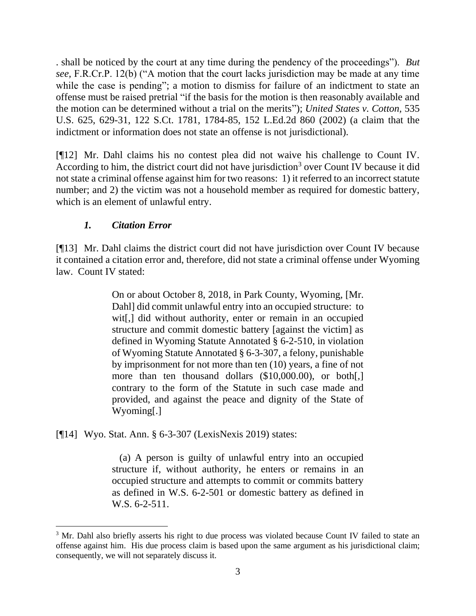. shall be noticed by the court at any time during the pendency of the proceedings"). *But see,* F.R.Cr.P. 12(b) ("A motion that the court lacks jurisdiction may be made at any time while the case is pending"; a motion to dismiss for failure of an indictment to state an offense must be raised pretrial "if the basis for the motion is then reasonably available and the motion can be determined without a trial on the merits"); *United States v. Cotton,* 535 U.S. 625, 629-31, 122 S.Ct. 1781, 1784-85, 152 L.Ed.2d 860 (2002) (a claim that the indictment or information does not state an offense is not jurisdictional).

[¶12] Mr. Dahl claims his no contest plea did not waive his challenge to Count IV. According to him, the district court did not have jurisdiction<sup>3</sup> over Count IV because it did not state a criminal offense against him for two reasons: 1) it referred to an incorrect statute number; and 2) the victim was not a household member as required for domestic battery, which is an element of unlawful entry.

## *1. Citation Error*

[¶13] Mr. Dahl claims the district court did not have jurisdiction over Count IV because it contained a citation error and, therefore, did not state a criminal offense under Wyoming law. Count IV stated:

> On or about October 8, 2018, in Park County, Wyoming, [Mr. Dahl] did commit unlawful entry into an occupied structure: to wit[,] did without authority, enter or remain in an occupied structure and commit domestic battery [against the victim] as defined in Wyoming Statute Annotated § 6-2-510, in violation of Wyoming Statute Annotated § 6-3-307, a felony, punishable by imprisonment for not more than ten (10) years, a fine of not more than ten thousand dollars (\$10,000.00), or both[,] contrary to the form of the Statute in such case made and provided, and against the peace and dignity of the State of Wyoming[.]

[¶14] Wyo. Stat. Ann. § 6-3-307 (LexisNexis 2019) states:

 (a) A person is guilty of unlawful entry into an occupied structure if, without authority, he enters or remains in an occupied structure and attempts to commit or commits battery as defined in W.S. 6-2-501 or domestic battery as defined in W.S. 6-2-511.

<sup>&</sup>lt;sup>3</sup> Mr. Dahl also briefly asserts his right to due process was violated because Count IV failed to state an offense against him. His due process claim is based upon the same argument as his jurisdictional claim; consequently, we will not separately discuss it.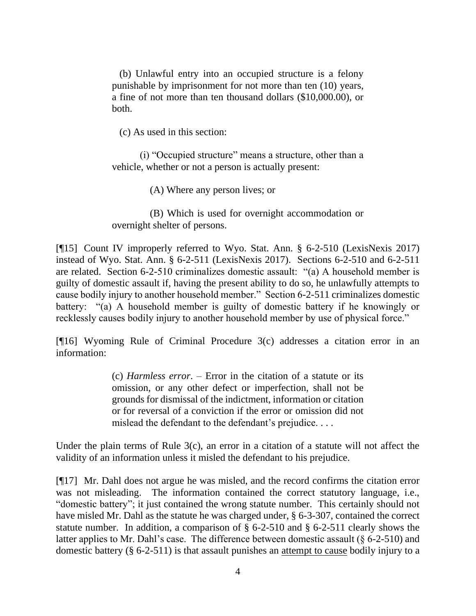(b) Unlawful entry into an occupied structure is a felony punishable by imprisonment for not more than ten (10) years, a fine of not more than ten thousand dollars (\$10,000.00), or both.

(c) As used in this section:

(i) "Occupied structure" means a structure, other than a vehicle, whether or not a person is actually present:

(A) Where any person lives; or

 (B) Which is used for overnight accommodation or overnight shelter of persons.

[¶15] Count IV improperly referred to Wyo. Stat. Ann. § 6-2-510 (LexisNexis 2017) instead of Wyo. Stat. Ann. § 6-2-511 (LexisNexis 2017). Sections 6-2-510 and 6-2-511 are related. Section 6-2-510 criminalizes domestic assault: "(a) A household member is guilty of domestic assault if, having the present ability to do so, he unlawfully attempts to cause bodily injury to another household member." Section 6-2-511 criminalizes domestic battery: "(a) A household member is guilty of domestic battery if he knowingly or recklessly causes bodily injury to another household member by use of physical force."

[¶16] Wyoming Rule of Criminal Procedure 3(c) addresses a citation error in an information:

> (c) *Harmless error*. – Error in the citation of a statute or its omission, or any other defect or imperfection, shall not be grounds for dismissal of the indictment, information or citation or for reversal of a conviction if the error or omission did not mislead the defendant to the defendant's prejudice. . . .

Under the plain terms of Rule 3(c), an error in a citation of a statute will not affect the validity of an information unless it misled the defendant to his prejudice.

[¶17] Mr. Dahl does not argue he was misled, and the record confirms the citation error was not misleading. The information contained the correct statutory language, i.e., "domestic battery"; it just contained the wrong statute number. This certainly should not have misled Mr. Dahl as the statute he was charged under, § 6-3-307, contained the correct statute number. In addition, a comparison of § 6-2-510 and § 6-2-511 clearly shows the latter applies to Mr. Dahl's case. The difference between domestic assault (§ 6-2-510) and domestic battery (§ 6-2-511) is that assault punishes an attempt to cause bodily injury to a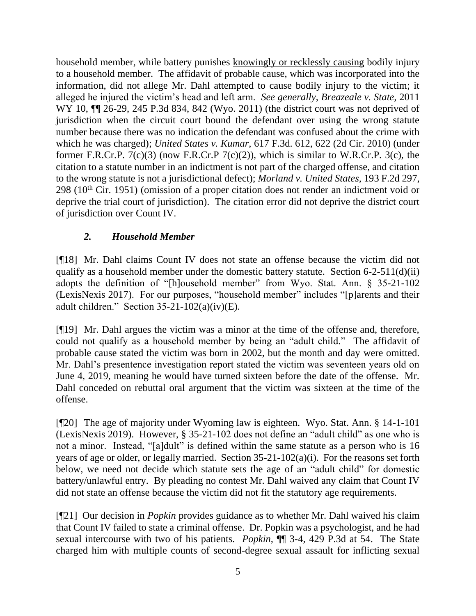household member, while battery punishes knowingly or recklessly causing bodily injury to a household member. The affidavit of probable cause, which was incorporated into the information, did not allege Mr. Dahl attempted to cause bodily injury to the victim; it alleged he injured the victim's head and left arm. *See generally*, *Breazeale v. State,* 2011 WY 10,  $\P$  26-29, 245 P.3d 834, 842 (Wyo. 2011) (the district court was not deprived of jurisdiction when the circuit court bound the defendant over using the wrong statute number because there was no indication the defendant was confused about the crime with which he was charged); *United States v. Kumar,* 617 F.3d. 612, 622 (2d Cir. 2010) (under former F.R.Cr.P. 7(c)(3) (now F.R.Cr.P 7(c)(2)), which is similar to W.R.Cr.P. 3(c), the citation to a statute number in an indictment is not part of the charged offense, and citation to the wrong statute is not a jurisdictional defect); *Morland v. United States,* 193 F.2d 297,  $298$  (10<sup>th</sup> Cir. 1951) (omission of a proper citation does not render an indictment void or deprive the trial court of jurisdiction). The citation error did not deprive the district court of jurisdiction over Count IV.

# *2. Household Member*

[¶18] Mr. Dahl claims Count IV does not state an offense because the victim did not qualify as a household member under the domestic battery statute. Section  $6-2-511(d)(ii)$ adopts the definition of "[h]ousehold member" from Wyo. Stat. Ann. § 35-21-102 (LexisNexis 2017). For our purposes, "household member" includes "[p]arents and their adult children." Section 35-21-102(a)(iv)(E).

[¶19] Mr. Dahl argues the victim was a minor at the time of the offense and, therefore, could not qualify as a household member by being an "adult child." The affidavit of probable cause stated the victim was born in 2002, but the month and day were omitted. Mr. Dahl's presentence investigation report stated the victim was seventeen years old on June 4, 2019, meaning he would have turned sixteen before the date of the offense. Mr. Dahl conceded on rebuttal oral argument that the victim was sixteen at the time of the offense.

[¶20] The age of majority under Wyoming law is eighteen. Wyo. Stat. Ann. § 14-1-101 (LexisNexis 2019). However, § 35-21-102 does not define an "adult child" as one who is not a minor. Instead, "[a]dult" is defined within the same statute as a person who is 16 years of age or older, or legally married. Section 35-21-102(a)(i). For the reasons set forth below, we need not decide which statute sets the age of an "adult child" for domestic battery/unlawful entry. By pleading no contest Mr. Dahl waived any claim that Count IV did not state an offense because the victim did not fit the statutory age requirements.

[¶21] Our decision in *Popkin* provides guidance as to whether Mr. Dahl waived his claim that Count IV failed to state a criminal offense. Dr. Popkin was a psychologist, and he had sexual intercourse with two of his patients. *Popkin,* ¶¶ 3-4, 429 P.3d at 54. The State charged him with multiple counts of second-degree sexual assault for inflicting sexual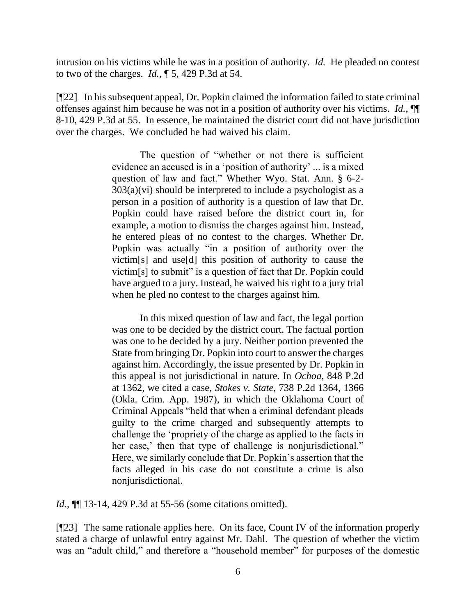intrusion on his victims while he was in a position of authority. *Id.* He pleaded no contest to two of the charges. *Id.,* ¶ 5, 429 P.3d at 54.

[¶22] In his subsequent appeal, Dr. Popkin claimed the information failed to state criminal offenses against him because he was not in a position of authority over his victims. *Id.,* ¶¶ 8-10, 429 P.3d at 55. In essence, he maintained the district court did not have jurisdiction over the charges. We concluded he had waived his claim.

> The question of "whether or not there is sufficient evidence an accused is in a 'position of authority' ... is a mixed question of law and fact." Whether Wyo. Stat. Ann. § 6-2-  $303(a)(vi)$  should be interpreted to include a psychologist as a person in a position of authority is a question of law that Dr. Popkin could have raised before the district court in, for example, a motion to dismiss the charges against him. Instead, he entered pleas of no contest to the charges. Whether Dr. Popkin was actually "in a position of authority over the victim[s] and use[d] this position of authority to cause the victim[s] to submit" is a question of fact that Dr. Popkin could have argued to a jury. Instead, he waived his right to a jury trial when he pled no contest to the charges against him.

> In this mixed question of law and fact, the legal portion was one to be decided by the district court. The factual portion was one to be decided by a jury. Neither portion prevented the State from bringing Dr. Popkin into court to answer the charges against him. Accordingly, the issue presented by Dr. Popkin in this appeal is not jurisdictional in nature. In *Ochoa*, 848 P.2d at 1362, we cited a case, *Stokes v. State,* 738 P.2d 1364, 1366 (Okla. Crim. App. 1987), in which the Oklahoma Court of Criminal Appeals "held that when a criminal defendant pleads guilty to the crime charged and subsequently attempts to challenge the 'propriety of the charge as applied to the facts in her case,' then that type of challenge is nonjurisdictional." Here, we similarly conclude that Dr. Popkin's assertion that the facts alleged in his case do not constitute a crime is also nonjurisdictional.

*Id.*, **[14.** 13-14, 429 P.3d at 55-56 (some citations omitted).

[¶23] The same rationale applies here. On its face, Count IV of the information properly stated a charge of unlawful entry against Mr. Dahl. The question of whether the victim was an "adult child," and therefore a "household member" for purposes of the domestic